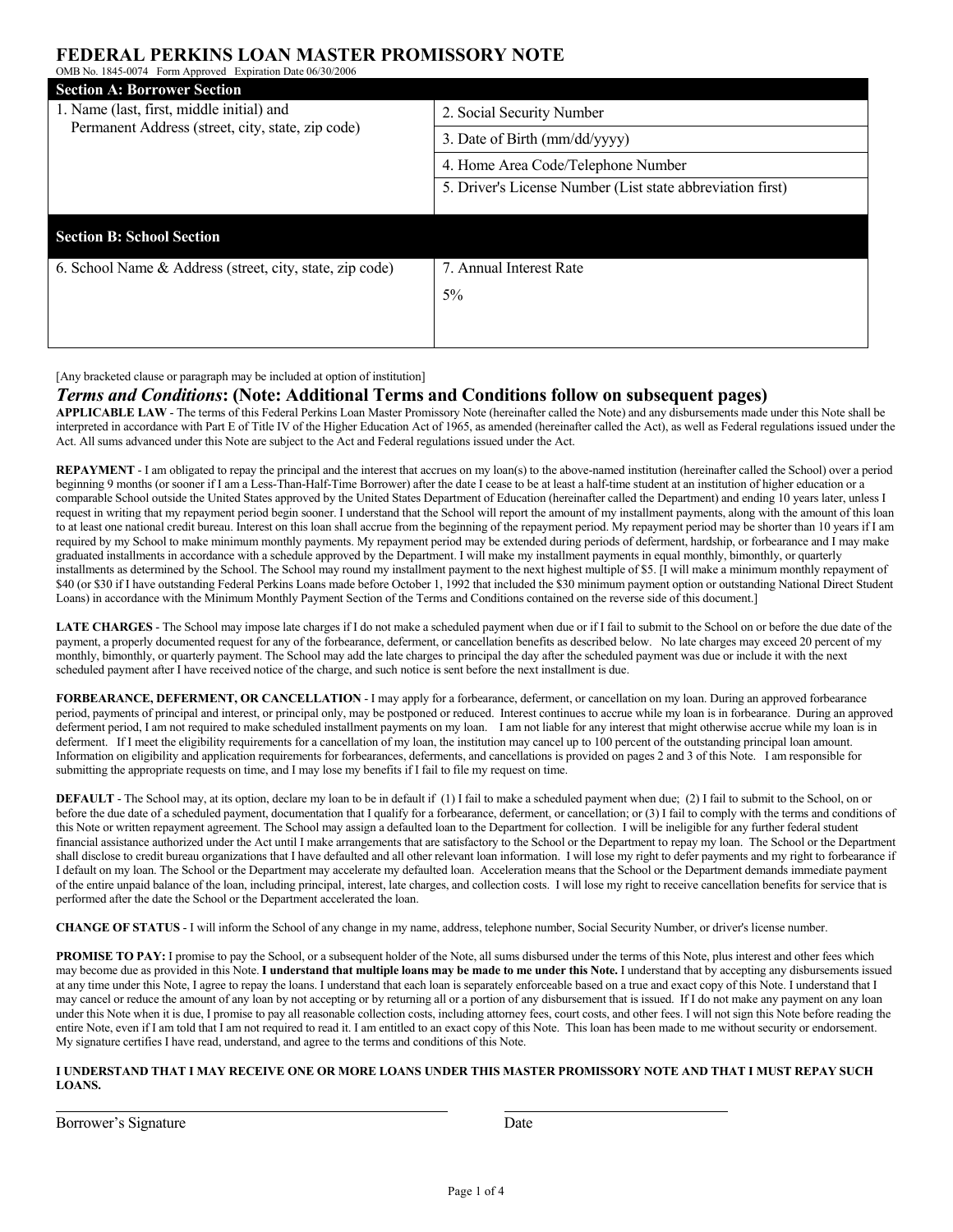## **FEDERAL PERKINS LOAN MASTER PROMISSORY NOTE**

| OMB No. 1845-0074 Form Approved Expiration Date 06/30/2006                                     |                                                            |
|------------------------------------------------------------------------------------------------|------------------------------------------------------------|
| <b>Section A: Borrower Section</b>                                                             |                                                            |
| 1. Name (last, first, middle initial) and<br>Permanent Address (street, city, state, zip code) | 2. Social Security Number                                  |
|                                                                                                | 3. Date of Birth (mm/dd/yyyy)                              |
|                                                                                                | 4. Home Area Code/Telephone Number                         |
|                                                                                                | 5. Driver's License Number (List state abbreviation first) |
|                                                                                                |                                                            |
| <b>Section B: School Section</b>                                                               |                                                            |
| 6. School Name & Address (street, city, state, zip code)                                       | 7. Annual Interest Rate                                    |
|                                                                                                | 5%                                                         |
|                                                                                                |                                                            |
|                                                                                                |                                                            |

[Any bracketed clause or paragraph may be included at option of institution]

### *Terms and Conditions***: (Note: Additional Terms and Conditions follow on subsequent pages)**

**APPLICABLE LAW** - The terms of this Federal Perkins Loan Master Promissory Note (hereinafter called the Note) and any disbursements made under this Note shall be interpreted in accordance with Part E of Title IV of the Higher Education Act of 1965, as amended (hereinafter called the Act), as well as Federal regulations issued under the Act. All sums advanced under this Note are subject to the Act and Federal regulations issued under the Act.

**REPAYMENT** - I am obligated to repay the principal and the interest that accrues on my loan(s) to the above-named institution (hereinafter called the School) over a period beginning 9 months (or sooner if I am a Less-Than-Half-Time Borrower) after the date I cease to be at least a half-time student at an institution of higher education or a comparable School outside the United States approved by the United States Department of Education (hereinafter called the Department) and ending 10 years later, unless I request in writing that my repayment period begin sooner. I understand that the School will report the amount of my installment payments, along with the amount of this loan to at least one national credit bureau. Interest on this loan shall accrue from the beginning of the repayment period. My repayment period may be shorter than 10 years if I am required by my School to make minimum monthly payments. My repayment period may be extended during periods of deferment, hardship, or forbearance and I may make graduated installments in accordance with a schedule approved by the Department. I will make my installment payments in equal monthly, bimonthly, or quarterly installments as determined by the School. The School may round my installment payment to the next highest multiple of \$5. [I will make a minimum monthly repayment of \$40 (or \$30 if I have outstanding Federal Perkins Loans made before October 1, 1992 that included the \$30 minimum payment option or outstanding National Direct Student Loans) in accordance with the Minimum Monthly Payment Section of the Terms and Conditions contained on the reverse side of this document.]

LATE CHARGES - The School may impose late charges if I do not make a scheduled payment when due or if I fail to submit to the School on or before the due date of the payment, a properly documented request for any of the forbearance, deferment, or cancellation benefits as described below. No late charges may exceed 20 percent of my monthly, bimonthly, or quarterly payment. The School may add the late charges to principal the day after the scheduled payment was due or include it with the next scheduled payment after I have received notice of the charge, and such notice is sent before the next installment is due.

**FORBEARANCE, DEFERMENT, OR CANCELLATION** - I may apply for a forbearance, deferment, or cancellation on my loan. During an approved forbearance period, payments of principal and interest, or principal only, may be postponed or reduced. Interest continues to accrue while my loan is in forbearance. During an approved deferment period, I am not required to make scheduled installment payments on my loan. I am not liable for any interest that might otherwise accrue while my loan is in deferment. If I meet the eligibility requirements for a cancellation of my loan, the institution may cancel up to 100 percent of the outstanding principal loan amount. Information on eligibility and application requirements for forbearances, deferments, and cancellations is provided on pages 2 and 3 of this Note. I am responsible for submitting the appropriate requests on time, and I may lose my benefits if I fail to file my request on time.

**DEFAULT** - The School may, at its option, declare my loan to be in default if (1) I fail to make a scheduled payment when due; (2) I fail to submit to the School, on or before the due date of a scheduled payment, documentation that I qualify for a forbearance, deferment, or cancellation; or (3) I fail to comply with the terms and conditions of this Note or written repayment agreement. The School may assign a defaulted loan to the Department for collection. I will be ineligible for any further federal student financial assistance authorized under the Act until I make arrangements that are satisfactory to the School or the Department to repay my loan. The School or the Department shall disclose to credit bureau organizations that I have defaulted and all other relevant loan information. I will lose my right to defer payments and my right to forbearance if I default on my loan. The School or the Department may accelerate my defaulted loan. Acceleration means that the School or the Department demands immediate payment of the entire unpaid balance of the loan, including principal, interest, late charges, and collection costs. I will lose my right to receive cancellation benefits for service that is performed after the date the School or the Department accelerated the loan.

**CHANGE OF STATUS** - I will inform the School of any change in my name, address, telephone number, Social Security Number, or driver's license number.

PROMISE TO PAY: I promise to pay the School, or a subsequent holder of the Note, all sums disbursed under the terms of this Note, plus interest and other fees which may become due as provided in this Note. **I understand that multiple loans may be made to me under this Note.** I understand that by accepting any disbursements issued at any time under this Note, I agree to repay the loans. I understand that each loan is separately enforceable based on a true and exact copy of this Note. I understand that I may cancel or reduce the amount of any loan by not accepting or by returning all or a portion of any disbursement that is issued. If I do not make any payment on any loan under this Note when it is due, I promise to pay all reasonable collection costs, including attorney fees, court costs, and other fees. I will not sign this Note before reading the entire Note, even if I am told that I am not required to read it. I am entitled to an exact copy of this Note. This loan has been made to me without security or endorsement. My signature certifies I have read, understand, and agree to the terms and conditions of this Note.

### **I UNDERSTAND THAT I MAY RECEIVE ONE OR MORE LOANS UNDER THIS MASTER PROMISSORY NOTE AND THAT I MUST REPAY SUCH LOANS.**

Borrower's Signature Date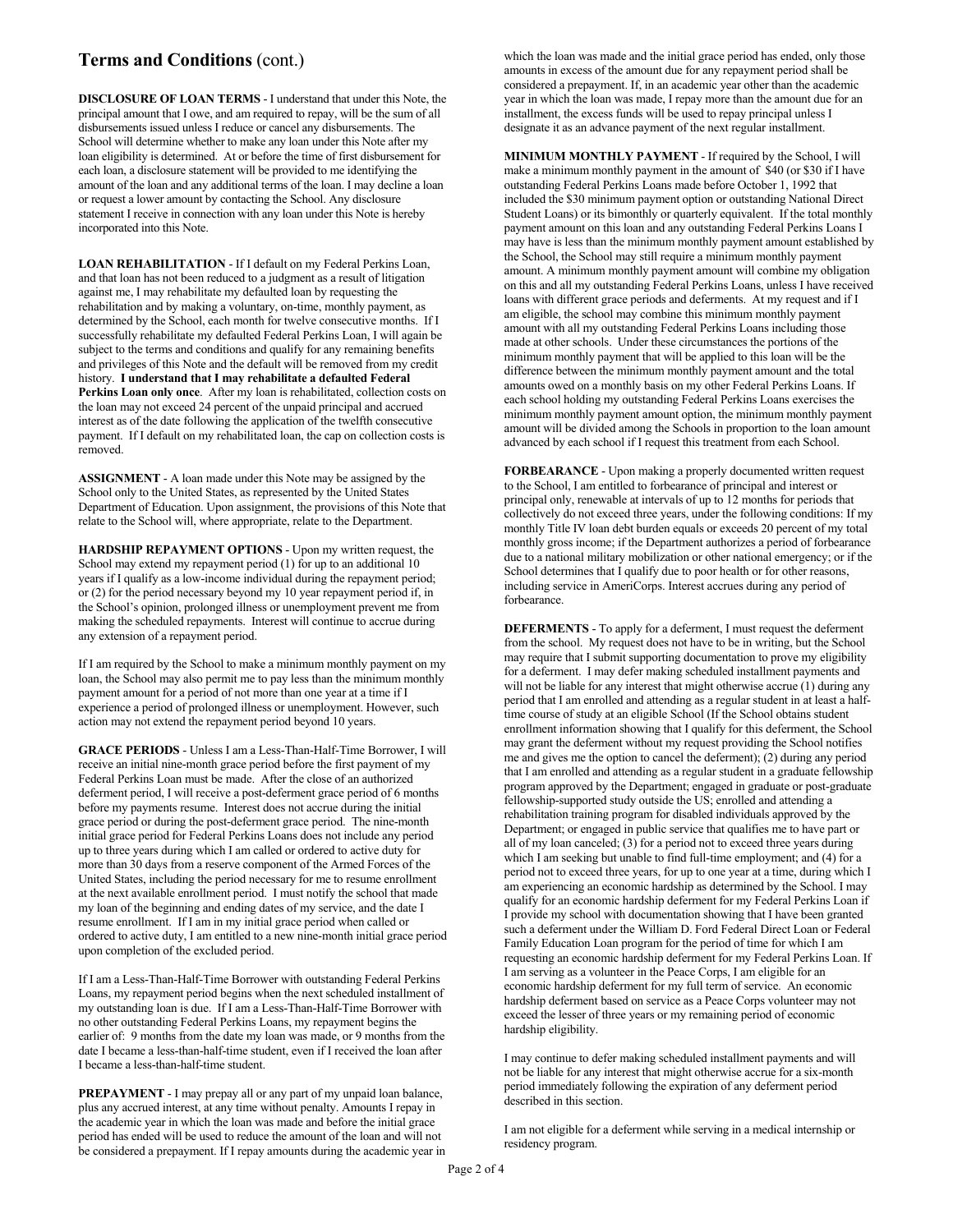## **Terms and Conditions** (cont.)

**DISCLOSURE OF LOAN TERMS** - I understand that under this Note, the principal amount that I owe, and am required to repay, will be the sum of all disbursements issued unless I reduce or cancel any disbursements. The School will determine whether to make any loan under this Note after my loan eligibility is determined. At or before the time of first disbursement for each loan, a disclosure statement will be provided to me identifying the amount of the loan and any additional terms of the loan. I may decline a loan or request a lower amount by contacting the School. Any disclosure statement I receive in connection with any loan under this Note is hereby incorporated into this Note.

**LOAN REHABILITATION** - If I default on my Federal Perkins Loan, and that loan has not been reduced to a judgment as a result of litigation against me, I may rehabilitate my defaulted loan by requesting the rehabilitation and by making a voluntary, on-time, monthly payment, as determined by the School, each month for twelve consecutive months. If I successfully rehabilitate my defaulted Federal Perkins Loan, I will again be subject to the terms and conditions and qualify for any remaining benefits and privileges of this Note and the default will be removed from my credit history. **I understand that I may rehabilitate a defaulted Federal Perkins Loan only once**. After my loan is rehabilitated, collection costs on the loan may not exceed 24 percent of the unpaid principal and accrued interest as of the date following the application of the twelfth consecutive payment. If I default on my rehabilitated loan, the cap on collection costs is removed.

**ASSIGNMENT** - A loan made under this Note may be assigned by the School only to the United States, as represented by the United States Department of Education. Upon assignment, the provisions of this Note that relate to the School will, where appropriate, relate to the Department.

**HARDSHIP REPAYMENT OPTIONS** - Upon my written request, the School may extend my repayment period (1) for up to an additional 10 years if I qualify as a low-income individual during the repayment period; or (2) for the period necessary beyond my 10 year repayment period if, in the School's opinion, prolonged illness or unemployment prevent me from making the scheduled repayments. Interest will continue to accrue during any extension of a repayment period.

If I am required by the School to make a minimum monthly payment on my loan, the School may also permit me to pay less than the minimum monthly payment amount for a period of not more than one year at a time if I experience a period of prolonged illness or unemployment. However, such action may not extend the repayment period beyond 10 years.

**GRACE PERIODS** - Unless I am a Less-Than-Half-Time Borrower, I will receive an initial nine-month grace period before the first payment of my Federal Perkins Loan must be made. After the close of an authorized deferment period, I will receive a post-deferment grace period of 6 months before my payments resume. Interest does not accrue during the initial grace period or during the post-deferment grace period. The nine-month initial grace period for Federal Perkins Loans does not include any period up to three years during which I am called or ordered to active duty for more than 30 days from a reserve component of the Armed Forces of the United States, including the period necessary for me to resume enrollment at the next available enrollment period. I must notify the school that made my loan of the beginning and ending dates of my service, and the date I resume enrollment. If I am in my initial grace period when called or ordered to active duty, I am entitled to a new nine-month initial grace period upon completion of the excluded period.

If I am a Less-Than-Half-Time Borrower with outstanding Federal Perkins Loans, my repayment period begins when the next scheduled installment of my outstanding loan is due. If I am a Less-Than-Half-Time Borrower with no other outstanding Federal Perkins Loans, my repayment begins the earlier of: 9 months from the date my loan was made, or 9 months from the date I became a less-than-half-time student, even if I received the loan after I became a less-than-half-time student.

**PREPAYMENT** - I may prepay all or any part of my unpaid loan balance, plus any accrued interest, at any time without penalty. Amounts I repay in the academic year in which the loan was made and before the initial grace period has ended will be used to reduce the amount of the loan and will not be considered a prepayment. If I repay amounts during the academic year in

which the loan was made and the initial grace period has ended, only those amounts in excess of the amount due for any repayment period shall be considered a prepayment. If, in an academic year other than the academic year in which the loan was made, I repay more than the amount due for an installment, the excess funds will be used to repay principal unless I designate it as an advance payment of the next regular installment.

**MINIMUM MONTHLY PAYMENT** - If required by the School, I will make a minimum monthly payment in the amount of \$40 (or \$30 if I have outstanding Federal Perkins Loans made before October 1, 1992 that included the \$30 minimum payment option or outstanding National Direct Student Loans) or its bimonthly or quarterly equivalent. If the total monthly payment amount on this loan and any outstanding Federal Perkins Loans I may have is less than the minimum monthly payment amount established by the School, the School may still require a minimum monthly payment amount. A minimum monthly payment amount will combine my obligation on this and all my outstanding Federal Perkins Loans, unless I have received loans with different grace periods and deferments. At my request and if I am eligible, the school may combine this minimum monthly payment amount with all my outstanding Federal Perkins Loans including those made at other schools. Under these circumstances the portions of the minimum monthly payment that will be applied to this loan will be the difference between the minimum monthly payment amount and the total amounts owed on a monthly basis on my other Federal Perkins Loans. If each school holding my outstanding Federal Perkins Loans exercises the minimum monthly payment amount option, the minimum monthly payment amount will be divided among the Schools in proportion to the loan amount advanced by each school if I request this treatment from each School.

**FORBEARANCE** - Upon making a properly documented written request to the School, I am entitled to forbearance of principal and interest or principal only, renewable at intervals of up to 12 months for periods that collectively do not exceed three years, under the following conditions: If my monthly Title IV loan debt burden equals or exceeds 20 percent of my total monthly gross income; if the Department authorizes a period of forbearance due to a national military mobilization or other national emergency; or if the School determines that I qualify due to poor health or for other reasons, including service in AmeriCorps. Interest accrues during any period of forbearance.

**DEFERMENTS** - To apply for a deferment, I must request the deferment from the school. My request does not have to be in writing, but the School may require that I submit supporting documentation to prove my eligibility for a deferment. I may defer making scheduled installment payments and will not be liable for any interest that might otherwise accrue (1) during any period that I am enrolled and attending as a regular student in at least a halftime course of study at an eligible School (If the School obtains student enrollment information showing that I qualify for this deferment, the School may grant the deferment without my request providing the School notifies me and gives me the option to cancel the deferment); (2) during any period that I am enrolled and attending as a regular student in a graduate fellowship program approved by the Department; engaged in graduate or post-graduate fellowship-supported study outside the US; enrolled and attending a rehabilitation training program for disabled individuals approved by the Department; or engaged in public service that qualifies me to have part or all of my loan canceled; (3) for a period not to exceed three years during which I am seeking but unable to find full-time employment; and (4) for a period not to exceed three years, for up to one year at a time, during which I am experiencing an economic hardship as determined by the School. I may qualify for an economic hardship deferment for my Federal Perkins Loan if I provide my school with documentation showing that I have been granted such a deferment under the William D. Ford Federal Direct Loan or Federal Family Education Loan program for the period of time for which I am requesting an economic hardship deferment for my Federal Perkins Loan. If I am serving as a volunteer in the Peace Corps, I am eligible for an economic hardship deferment for my full term of service. An economic hardship deferment based on service as a Peace Corps volunteer may not exceed the lesser of three years or my remaining period of economic hardship eligibility.

I may continue to defer making scheduled installment payments and will not be liable for any interest that might otherwise accrue for a six-month period immediately following the expiration of any deferment period described in this section.

I am not eligible for a deferment while serving in a medical internship or residency program.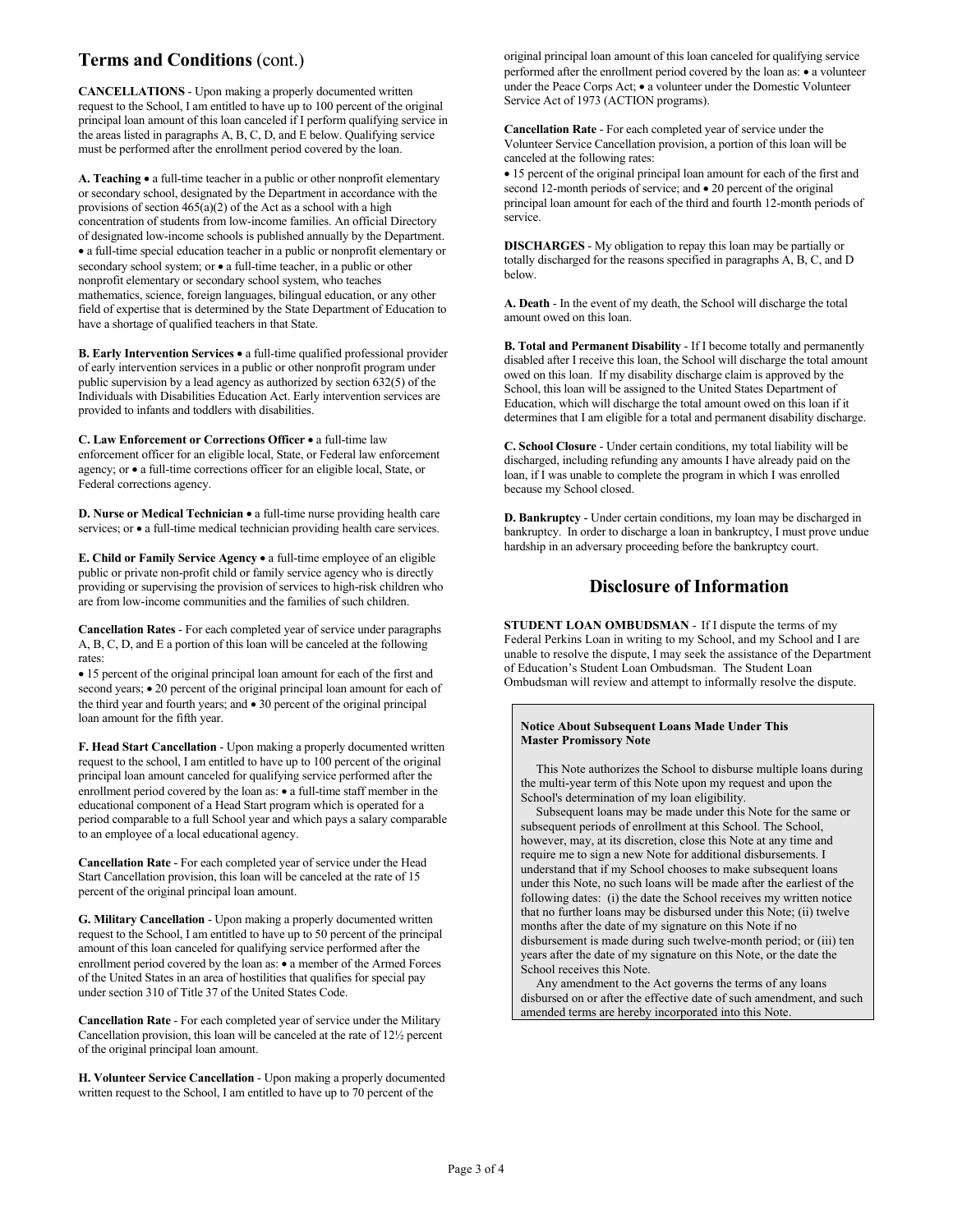# **Terms and Conditions** (cont.)

**CANCELLATIONS** - Upon making a properly documented written request to the School, I am entitled to have up to 100 percent of the original principal loan amount of this loan canceled if I perform qualifying service in the areas listed in paragraphs A, B, C, D, and E below. Qualifying service must be performed after the enrollment period covered by the loan.

**A. Teaching** • a full-time teacher in a public or other nonprofit elementary or secondary school, designated by the Department in accordance with the provisions of section  $465(a)(2)$  of the Act as a school with a high concentration of students from low-income families. An official Directory of designated low-income schools is published annually by the Department. • a full-time special education teacher in a public or nonprofit elementary or secondary school system; or  $\bullet$  a full-time teacher, in a public or other nonprofit elementary or secondary school system, who teaches mathematics, science, foreign languages, bilingual education, or any other field of expertise that is determined by the State Department of Education to have a shortage of qualified teachers in that State.

**B. Early Intervention Services** • a full-time qualified professional provider of early intervention services in a public or other nonprofit program under public supervision by a lead agency as authorized by section 632(5) of the Individuals with Disabilities Education Act. Early intervention services are provided to infants and toddlers with disabilities.

**C. Law Enforcement or Corrections Officer** • a full-time law enforcement officer for an eligible local, State, or Federal law enforcement agency; or • a full-time corrections officer for an eligible local, State, or Federal corrections agency.

**D. Nurse or Medical Technician** • a full-time nurse providing health care services; or  $\bullet$  a full-time medical technician providing health care services.

**E. Child or Family Service Agency** • a full-time employee of an eligible public or private non-profit child or family service agency who is directly providing or supervising the provision of services to high-risk children who are from low-income communities and the families of such children.

**Cancellation Rates** - For each completed year of service under paragraphs A, B, C, D, and E a portion of this loan will be canceled at the following rates:

• 15 percent of the original principal loan amount for each of the first and second years; • 20 percent of the original principal loan amount for each of the third year and fourth years; and • 30 percent of the original principal loan amount for the fifth year.

**F. Head Start Cancellation** - Upon making a properly documented written request to the school, I am entitled to have up to 100 percent of the original principal loan amount canceled for qualifying service performed after the enrollment period covered by the loan as: • a full-time staff member in the educational component of a Head Start program which is operated for a period comparable to a full School year and which pays a salary comparable to an employee of a local educational agency.

**Cancellation Rate** - For each completed year of service under the Head Start Cancellation provision, this loan will be canceled at the rate of 15 percent of the original principal loan amount.

**G. Military Cancellation** - Upon making a properly documented written request to the School, I am entitled to have up to 50 percent of the principal amount of this loan canceled for qualifying service performed after the enrollment period covered by the loan as: • a member of the Armed Forces of the United States in an area of hostilities that qualifies for special pay under section 310 of Title 37 of the United States Code.

**Cancellation Rate** - For each completed year of service under the Military Cancellation provision, this loan will be canceled at the rate of 12½ percent of the original principal loan amount.

**H. Volunteer Service Cancellation** - Upon making a properly documented written request to the School, I am entitled to have up to 70 percent of the

original principal loan amount of this loan canceled for qualifying service performed after the enrollment period covered by the loan as: • a volunteer under the Peace Corps Act; • a volunteer under the Domestic Volunteer Service Act of 1973 (ACTION programs).

**Cancellation Rate** - For each completed year of service under the Volunteer Service Cancellation provision, a portion of this loan will be canceled at the following rates:

• 15 percent of the original principal loan amount for each of the first and second 12-month periods of service; and  $\bullet$  20 percent of the original principal loan amount for each of the third and fourth 12-month periods of service.

**DISCHARGES** - My obligation to repay this loan may be partially or totally discharged for the reasons specified in paragraphs A, B, C, and D below.

**A. Death** - In the event of my death, the School will discharge the total amount owed on this loan.

**B. Total and Permanent Disability** - If I become totally and permanently disabled after I receive this loan, the School will discharge the total amount owed on this loan. If my disability discharge claim is approved by the School, this loan will be assigned to the United States Department of Education, which will discharge the total amount owed on this loan if it determines that I am eligible for a total and permanent disability discharge.

**C. School Closure** - Under certain conditions, my total liability will be discharged, including refunding any amounts I have already paid on the loan, if I was unable to complete the program in which I was enrolled because my School closed.

**D. Bankruptcy** - Under certain conditions, my loan may be discharged in bankruptcy. In order to discharge a loan in bankruptcy, I must prove undue hardship in an adversary proceeding before the bankruptcy court.

## **Disclosure of Information**

**STUDENT LOAN OMBUDSMAN** - If I dispute the terms of my Federal Perkins Loan in writing to my School, and my School and I are unable to resolve the dispute, I may seek the assistance of the Department of Education's Student Loan Ombudsman. The Student Loan Ombudsman will review and attempt to informally resolve the dispute.

### **Notice About Subsequent Loans Made Under This Master Promissory Note**

 This Note authorizes the School to disburse multiple loans during the multi-year term of this Note upon my request and upon the School's determination of my loan eligibility.

 Subsequent loans may be made under this Note for the same or subsequent periods of enrollment at this School. The School. however, may, at its discretion, close this Note at any time and require me to sign a new Note for additional disbursements. I understand that if my School chooses to make subsequent loans under this Note, no such loans will be made after the earliest of the following dates: (i) the date the School receives my written notice that no further loans may be disbursed under this Note; (ii) twelve months after the date of my signature on this Note if no disbursement is made during such twelve-month period; or (iii) ten years after the date of my signature on this Note, or the date the School receives this Note.

 Any amendment to the Act governs the terms of any loans disbursed on or after the effective date of such amendment, and such amended terms are hereby incorporated into this Note.